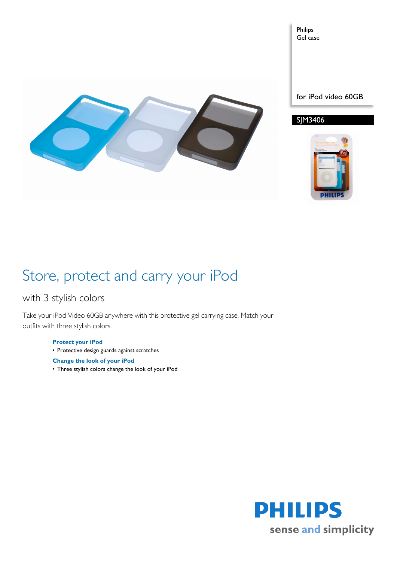

Philips Gel case

for iPod video 60GB

SJM3406



## Store, protect and carry your iPod

## with 3 stylish colors

Take your iPod Video 60GB anywhere with this protective gel carrying case. Match your outfits with three stylish colors.

- **Protect your iPod**
- Protective design guards against scratches
- **Change the look of your iPod**
- Three stylish colors change the look of your iPod